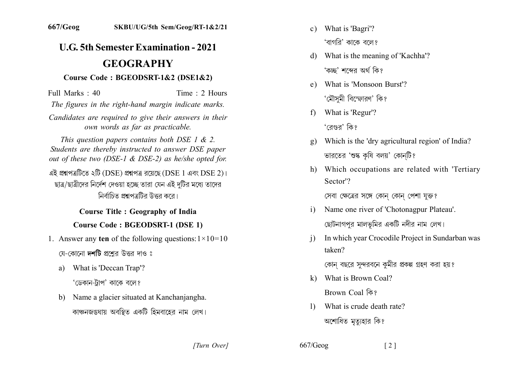# **U.G. 5th Semester Examination - 2021 GEOGRAPHY**

#### Course Code: BGEODSRT-1&2 (DSE1&2)

Full Marks: 40 Time  $\cdot$  2 Hours

The figures in the right-hand margin indicate marks.

Candidates are required to give their answers in their own words as far as practicable.

This question papers contains both DSE 1  $\&$  2. Students are thereby instructed to answer DSE paper out of these two (DSE-1 & DSE-2) as he/she opted for.

এই প্রশ্নপত্রটিতে ২টি (DSE) প্রশ্নপত্র রয়েছে (DSE 1 এবং DSE 2)। ছাত্র/ছাত্রীদের নির্দেশ দেওয়া হচ্ছে তারা যেন এই দটির মধ্যে তাদের নির্বাচিত প্রশ্নপত্রটির উত্তর করে।

# **Course Title : Geography of India Course Code: BGEODSRT-1 (DSE 1)**

1. Answer any ten of the following questions:  $1 \times 10 = 10$ 

যে-কোনো **দশটি** প্রশ্নের উত্তর দাও ঃ

a) What is 'Deccan Trap'?

'ডেকান-টাপ' কাকে বলে?

b) Name a glacier situated at Kanchaniangha. কাঞ্চনজঙঘায় অবস্থিত একটি হিমবাহের নাম লেখ।

- c) What is 'Bagri'? 'বাগরি' কাকে বলে?
- d) What is the meaning of 'Kachha'? 'কচ্ছ' শব্দের অর্থ কি?
- e) What is 'Monsoon Burst'? 'মৌসমী বিস্ফোরণ' কি?
- What is 'Regur'?  $f$

'বেগুব' কি?

- Which is the 'dry agricultural region' of India? ভারতের 'শুষ্ক কৃষি বলয়' কোনটি?
- h) Which occupations are related with 'Tertiary Sector<sup>'</sup>?

সেবা ক্ষেত্রের সঙ্গে কোন কোন পেশা যুক্ত?

- Name one river of 'Chotonagpur Plateau'.  $\mathbf{i}$ ছোটনাগপুর মালভূমির একটি নদীর নাম লেখ।
- In which year Crocodile Project in Sundarban was  $\mathbf{i}$ taken?

কোন বছরে সুন্দরবনে কুমীর প্রকল্প গ্রহণ করা হয়?

- k) What is Brown Coal? Brown Coal কি?
- What is crude death rate?  $\mathbf{D}$ অশোধিত মত্যহার কি?

[Turn Over]

 $667/Geog$  $\lceil 2 \rceil$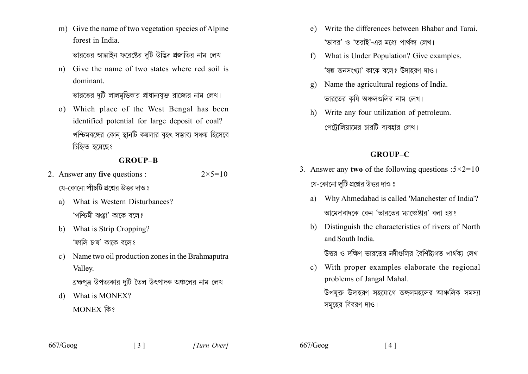m) Give the name of two vegetation species of Alpine forest in India

ভারতের আল্পাইন ফরেষ্টের দুটি উদ্ভিদ প্রজাতির নাম লেখ।

n) Give the name of two states where red soil is dominant.

ভারতের দুটি লালমুত্তিকার প্রাধান্যযুক্ত রাজ্যের নাম লেখ।

o) Which place of the West Bengal has been identified potential for large deposit of coal? পশ্চিমবঙ্গের কোন স্থানটি কয়লার বৃহৎ সম্ভাব্য সঞ্চয় হিসেবে চিহ্নিত হয়েছে?

#### **GROUP-B**

- 2. Answer any five questions :  $2 \times 5 = 10$ য়ে-কোনো **পাঁচটি** প্রশ্নের উত্তর দাও ঃ
	- What is Western Disturbances?  $a)$ 'পশ্চিমী ঝঞ্কা' কাকে বলে?
	- b) What is Strip Cropping? 'ফালি চাষ' কাকে বলে?
	- c) Name two oil production zones in the Brahmaputra Valley.

 $\begin{bmatrix} 3 \end{bmatrix}$ 

ব্রহ্মপূত্র উপত্যকার দুটি তৈল উৎপাদক অঞ্চলের নাম লেখ।

d) What is MONEX? MONEX कि?

- e) Write the differences between Bhabar and Tarai. 'ভাবর' ও 'তরাই'-এর মধ্যে পার্থকা লেখ।
- f) What is Under Population? Give examples. 'স্বল্প জনসংখ্যা' কাকে বলে? উদাহরণ দাও।
- Name the agricultural regions of India. ভারতের কষি অঞ্চলগুলির নাম লেখ।
- h) Write any four utilization of petroleum. পেট্রোলিয়ামের চারটি ব্যবহার লেখ।

## **GROUP-C**

- 3. Answer any two of the following questions : $5 \times 2 = 10$ যে-কোনো **দটি** প্রশ্নের উত্তর দাও ঃ
	- a) Why Ahmedabad is called 'Manchester of India'? আমেদাবাদকে কেন 'ভারতের ম্যাঞ্চেষ্টার' বলা হয়?
	- Distinguish the characteristics of rivers of North b) and South India

উত্তর ও দক্ষিণ ভারতের নদীগুলির বৈশিষ্ট্যগত পার্থক্য লেখ।

c) With proper examples elaborate the regional problems of Jangal Mahal.

উপযক্ত উদাহরণ সহযোগে জঙ্গলমহলের আঞ্চলিক সমস্যা সমূহের বিবরণ দাও।

 $667/Geog$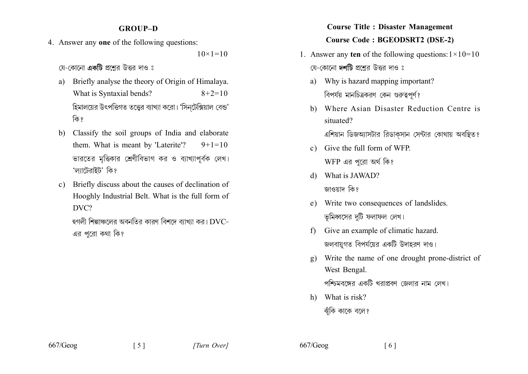#### **GROUP-D**

4. Answer any one of the following questions:

 $10 \times 1 = 10$ 

য়ে-কোনো **একটি** প্রশ্রের উত্তর দাও ঃ

- Briefly analyse the theory of Origin of Himalaya. a) What is Syntaxial bends?  $8+2=10$ হিমালয়ের উৎপত্তিগত তত্ত্বের ব্যাখ্যা করো। 'সিন্টেক্সিয়াল বেন্ড' কি?
- b) Classify the soil groups of India and elaborate them. What is meant by 'Laterite'?  $9+1=10$ ভারতের মত্তিকার শ্রেণীবিভাগ কর ও ব্যাখ্যাপূর্বক লেখ। 'ল্যাটেরাইট' কি?
- c) Briefly discuss about the causes of declination of Hooghly Industrial Belt. What is the full form of DVC?

হুগলী শিল্পাঞ্চলের অবনতির কারণ বিশদে ব্যাখ্যা কর।  $\mathrm{DVC}$ -এর পরো কথা কি?

# **Course Title : Disaster Management Course Code: BGEODSRT2 (DSE-2)**

- 1. Answer any ten of the following questions:  $1 \times 10 = 10$ যে-কোনো দর্শটি প্রশ্নের উত্তর দাও ঃ
	- a) Why is hazard mapping important? বিপর্যয় মানচিত্রকরণ কেন গুরুত্বপূর্ণ?
	- b) Where Asian Disaster Reduction Centre is situated?

এশিয়ান ডিজঅ্যাসটার রিডাকসান সেন্টার কোথায় অবস্থিত?

- c) Give the full form of WFP. WFP এর পরো অর্থ কি?
- d) What is JAWAD? জাওয়াদ কি?
- e) Write two consequences of landslides. ভূমিধ্বসের দুটি ফলাফল লেখ।
- Give an example of climatic hazard.  $f$ জলবায়গত বিপর্যয়ের একটি উদাহরণ দাও।
- Write the name of one drought prone-district of  $\mathbf{Q}$ West Bengal.

পশ্চিমবঙ্গের একটি খরাপ্রবণ জেলার নাম লেখ।

h) What is risk? ঝঁকি কাকে বলে?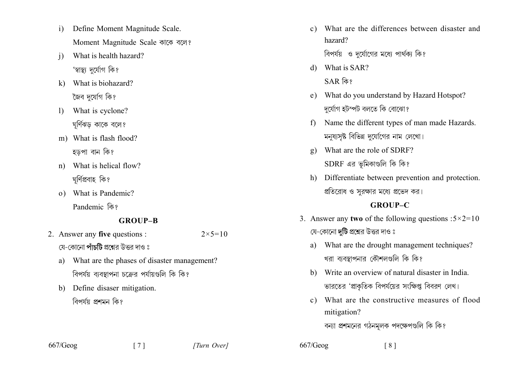- $\mathbf{i}$ Define Moment Magnitude Scale. Moment Magnitude Scale काटक बाल?
- What is health hazard?  $\overline{1}$ 'স্বাস্থ্য দৰ্মোগ কি?
- k) What is biohazard? কৈব দৰ্যোগ কি?
- What is cyclone?  $\mathbf{I}$ ঘৰ্ণিঝড কাকে বলে?
- m) What is flash flood? হডপা বান কি?
- n) What is helical flow? ঘৰ্ণিপ্ৰবাহ কি?
- o) What is Pandemic? Pandemic कि?

### **GROUP-B**

- 2. Answer any five questions :  $2 \times 5 = 10$ য়ে-কোনো **পাঁচটি** প্রশ্নের উত্তর দাও ঃ
	- a) What are the phases of disaster management? বিপর্যয় ব্যবস্থাপনা চক্রের পর্যায়গুলি কি কি?

 $\begin{bmatrix} 7 \end{bmatrix}$ 

b) Define disaser mitigation. বিপৰ্যয় প্ৰশমন কি?

What are the differences between disaster and  $c)$ hazard?

বিপর্যয় ও দর্যোগের মধ্যে পার্থক্য কি?

- $d)$  What is SAR?
	- SAR কি?
- e) What do you understand by Hazard Hotspot? দৰ্যোগ হটস্পট বলতে কি বোঝো?
- Name the different types of man made Hazards.  $f$ ) মনুষ্যসৃষ্ট বিভিন্ন দুর্যোগের নাম লেখো।
- What are the role of SDRF?  $\mathfrak{g}$ )  $SDRF$  এর ভমিকাণ্ডলি কি কি?
- h) Differentiate between prevention and protection. প্রতিরোধ ও সরক্ষার মধ্যে প্রভেদ কর।

#### **GROUP-C**

- 3. Answer any two of the following questions : $5 \times 2 = 10$ যে-কোনো **দটি** প্রশ্নের উত্তর দাও ঃ
	- What are the drought management techniques? a) খরা ব্যবস্থাপনার কৌশলগুলি কি কি?
	- b) Write an overview of natural disaster in India. ভারতের 'প্রাকৃতিক বিপর্যয়ের সংক্ষিপ্ত বিবরণ লেখ।
	- c) What are the constructive measures of flood mitigation?

বন্যা প্রশমনের গঠনমূলক পদক্ষেপগুলি কি কি?

 $\lceil 8 \rceil$ 

 $667/Geog$